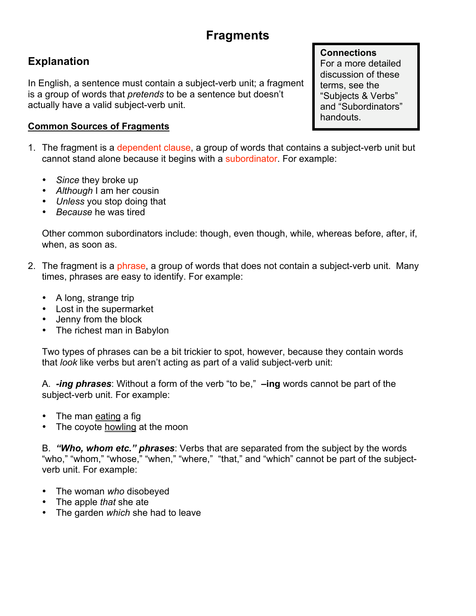# **Fragments**

## **Explanation**

In English, a sentence must contain a subject-verb unit; a fragment is a group of words that *pretends* to be a sentence but doesn't actually have a valid subject-verb unit.

#### **Common Sources of Fragments**

- 1. The fragment is a dependent clause, a group of words that contains a subject-verb unit but cannot stand alone because it begins with a subordinator. For example:
	- *Since* they broke up
	- *Although* I am her cousin
	- *Unless* you stop doing that
	- *Because* he was tired

Other common subordinators include: though, even though, while, whereas before, after, if, when, as soon as.

- 2. The fragment is a phrase, a group of words that does not contain a subject-verb unit. Many times, phrases are easy to identify. For example:
	- A long, strange trip
	- Lost in the supermarket
	- Jenny from the block
	- The richest man in Babylon

Two types of phrases can be a bit trickier to spot, however, because they contain words that *look* like verbs but aren't acting as part of a valid subject-verb unit:

A. *-ing phrases*: Without a form of the verb "to be," **–ing** words cannot be part of the subject-verb unit. For example:

- The man eating a fig
- The coyote howling at the moon

B. *"Who, whom etc." phrases*: Verbs that are separated from the subject by the words "who," "whom," "whose," "when," "where," "that," and "which" cannot be part of the subjectverb unit. For example:

- The woman *who* disobeyed
- The apple *that* she ate
- The garden *which* she had to leave

#### **Connections**

For a more detailed discussion of these terms, see the "Subjects & Verbs" and "Subordinators" handouts.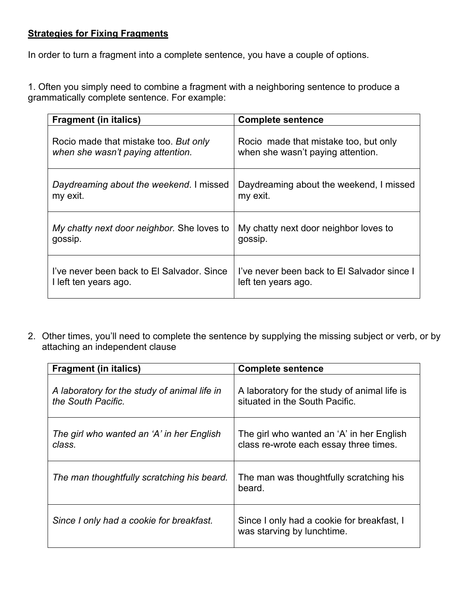#### **Strategies for Fixing Fragments**

In order to turn a fragment into a complete sentence, you have a couple of options.

1. Often you simply need to combine a fragment with a neighboring sentence to produce a grammatically complete sentence. For example:

| <b>Fragment (in italics)</b>               | <b>Complete sentence</b>                    |
|--------------------------------------------|---------------------------------------------|
| Rocio made that mistake too. But only      | Rocio made that mistake too, but only       |
| when she wasn't paying attention.          | when she wasn't paying attention.           |
| Daydreaming about the weekend. I missed    | Daydreaming about the weekend, I missed     |
| my exit.                                   | my exit.                                    |
| My chatty next door neighbor. She loves to | My chatty next door neighbor loves to       |
| gossip.                                    | gossip.                                     |
| I've never been back to El Salvador. Since | I've never been back to El Salvador since I |
| I left ten years ago.                      | left ten years ago.                         |

2. Other times, you'll need to complete the sentence by supplying the missing subject or verb, or by attaching an independent clause

| <b>Fragment (in italics)</b>                                       | <b>Complete sentence</b>                                                            |
|--------------------------------------------------------------------|-------------------------------------------------------------------------------------|
| A laboratory for the study of animal life in<br>the South Pacific. | A laboratory for the study of animal life is<br>situated in the South Pacific.      |
| The girl who wanted an 'A' in her English<br>class.                | The girl who wanted an 'A' in her English<br>class re-wrote each essay three times. |
| The man thoughtfully scratching his beard.                         | The man was thoughtfully scratching his<br>beard.                                   |
| Since I only had a cookie for breakfast.                           | Since I only had a cookie for breakfast, I<br>was starving by lunchtime.            |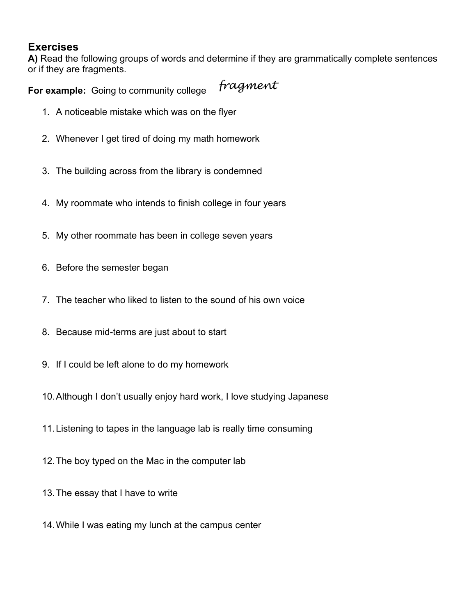### **Exercises**

**A)** Read the following groups of words and determine if they are grammatically complete sentences or if they are fragments.

*fragment* **For example:** Going to community college

- 1. A noticeable mistake which was on the flyer
- 2. Whenever I get tired of doing my math homework
- 3. The building across from the library is condemned
- 4. My roommate who intends to finish college in four years
- 5. My other roommate has been in college seven years
- 6. Before the semester began
- 7. The teacher who liked to listen to the sound of his own voice
- 8. Because mid-terms are just about to start
- 9. If I could be left alone to do my homework
- 10.Although I don't usually enjoy hard work, I love studying Japanese
- 11.Listening to tapes in the language lab is really time consuming
- 12.The boy typed on the Mac in the computer lab
- 13.The essay that I have to write
- 14.While I was eating my lunch at the campus center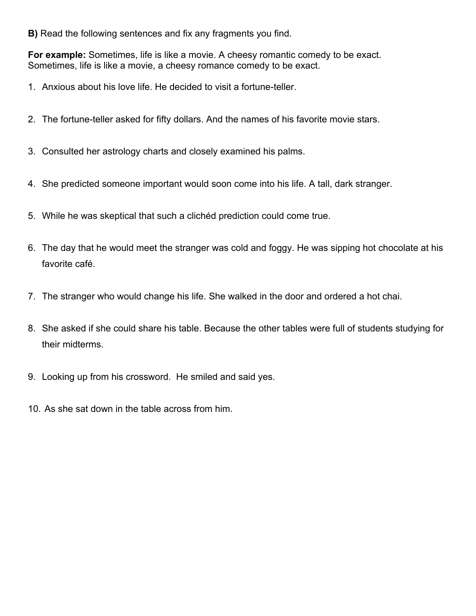**B)** Read the following sentences and fix any fragments you find.

**For example:** Sometimes, life is like a movie. A cheesy romantic comedy to be exact. Sometimes, life is like a movie, a cheesy romance comedy to be exact.

- 1. Anxious about his love life. He decided to visit a fortune-teller.
- 2. The fortune-teller asked for fifty dollars. And the names of his favorite movie stars.
- 3. Consulted her astrology charts and closely examined his palms.
- 4. She predicted someone important would soon come into his life. A tall, dark stranger.
- 5. While he was skeptical that such a clichéd prediction could come true.
- 6. The day that he would meet the stranger was cold and foggy. He was sipping hot chocolate at his favorite café.
- 7. The stranger who would change his life. She walked in the door and ordered a hot chai.
- 8. She asked if she could share his table. Because the other tables were full of students studying for their midterms.
- 9. Looking up from his crossword. He smiled and said yes.
- 10. As she sat down in the table across from him.